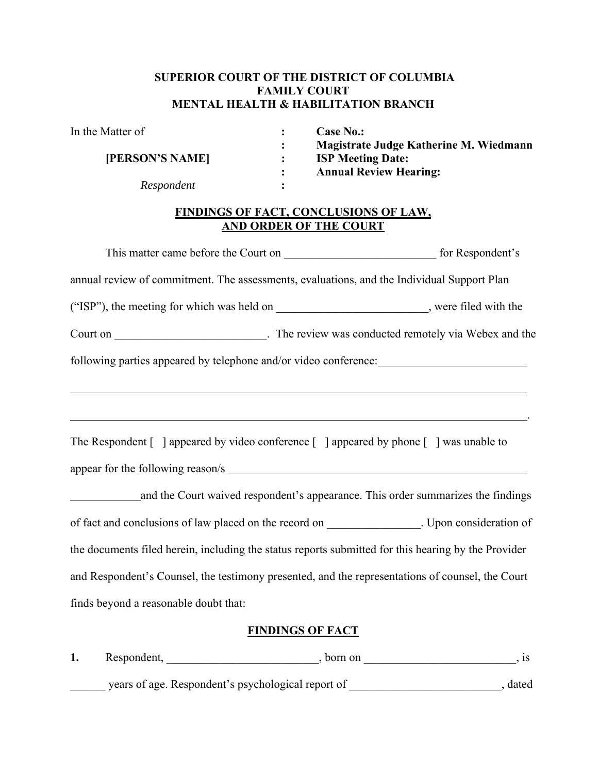### **SUPERIOR COURT OF THE DISTRICT OF COLUMBIA FAMILY COURT MENTAL HEALTH & HABILITATION BRANCH**

| In the Matter of              |                                                                               | <b>Case No.:</b>                                                   |                                                                                                                                   |  |  |  |  |  |  |
|-------------------------------|-------------------------------------------------------------------------------|--------------------------------------------------------------------|-----------------------------------------------------------------------------------------------------------------------------------|--|--|--|--|--|--|
| [PERSON'S NAME]<br>Respondent |                                                                               | Magistrate Judge Katherine M. Wiedmann<br><b>ISP Meeting Date:</b> |                                                                                                                                   |  |  |  |  |  |  |
|                               |                                                                               |                                                                    | <b>Annual Review Hearing:</b>                                                                                                     |  |  |  |  |  |  |
|                               |                                                                               |                                                                    |                                                                                                                                   |  |  |  |  |  |  |
|                               | <b>FINDINGS OF FACT, CONCLUSIONS OF LAW,</b><br><b>AND ORDER OF THE COURT</b> |                                                                    |                                                                                                                                   |  |  |  |  |  |  |
|                               |                                                                               |                                                                    |                                                                                                                                   |  |  |  |  |  |  |
|                               |                                                                               |                                                                    | annual review of commitment. The assessments, evaluations, and the Individual Support Plan                                        |  |  |  |  |  |  |
|                               |                                                                               |                                                                    | ("ISP"), the meeting for which was held on ___________________________, were filed with the                                       |  |  |  |  |  |  |
|                               |                                                                               |                                                                    | Court on __________________________________. The review was conducted remotely via Webex and the                                  |  |  |  |  |  |  |
|                               |                                                                               |                                                                    | The Respondent $\lceil \ \rceil$ appeared by video conference $\lceil \ \rceil$ appeared by phone $\lceil \ \rceil$ was unable to |  |  |  |  |  |  |
|                               |                                                                               |                                                                    |                                                                                                                                   |  |  |  |  |  |  |
|                               |                                                                               |                                                                    | and the Court waived respondent's appearance. This order summarizes the findings                                                  |  |  |  |  |  |  |
|                               |                                                                               |                                                                    | of fact and conclusions of law placed on the record on ______________. Upon consideration of                                      |  |  |  |  |  |  |
|                               |                                                                               |                                                                    | the documents filed herein, including the status reports submitted for this hearing by the Provider                               |  |  |  |  |  |  |
|                               |                                                                               |                                                                    | and Respondent's Counsel, the testimony presented, and the representations of counsel, the Court                                  |  |  |  |  |  |  |
|                               | finds beyond a reasonable doubt that:                                         |                                                                    |                                                                                                                                   |  |  |  |  |  |  |
|                               |                                                                               |                                                                    | <b>FINDINGS OF FACT</b>                                                                                                           |  |  |  |  |  |  |
| 1.                            |                                                                               |                                                                    | , is                                                                                                                              |  |  |  |  |  |  |

\_\_\_\_\_\_ years of age. Respondent's psychological report of \_\_\_\_\_\_\_\_\_\_\_\_\_\_\_\_\_\_\_\_\_\_\_\_\_\_, dated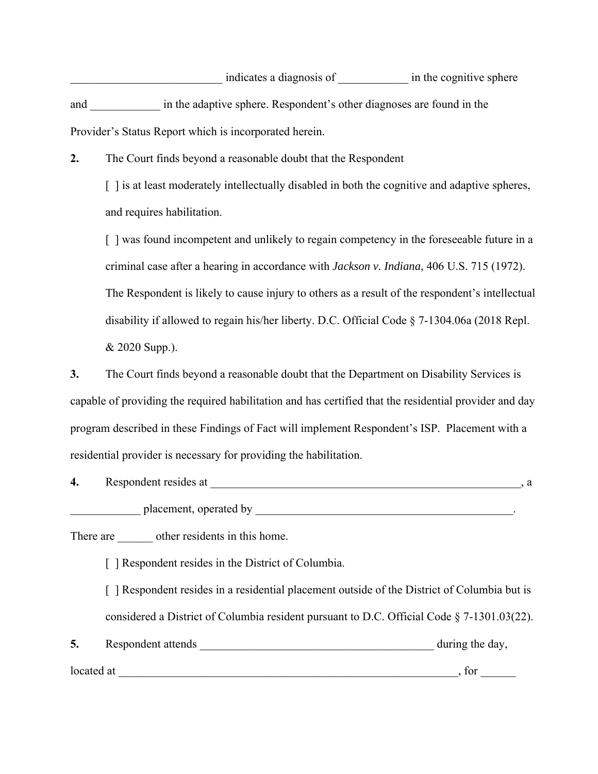indicates a diagnosis of \_\_\_\_\_\_\_\_\_\_\_\_\_\_\_ in the cognitive sphere and \_\_\_\_\_\_\_\_\_\_\_\_ in the adaptive sphere. Respondent's other diagnoses are found in the Provider's Status Report which is incorporated herein.

**2.** The Court finds beyond a reasonable doubt that the Respondent

[] is at least moderately intellectually disabled in both the cognitive and adaptive spheres, and requires habilitation.

[] was found incompetent and unlikely to regain competency in the foreseeable future in a criminal case after a hearing in accordance with *Jackson v. Indiana*, 406 U.S. 715 (1972). The Respondent is likely to cause injury to others as a result of the respondent's intellectual disability if allowed to regain his/her liberty. D.C. Official Code § 7-1304.06a (2018 Repl. & 2020 Supp.).

**3.** The Court finds beyond a reasonable doubt that the Department on Disability Services is capable of providing the required habilitation and has certified that the residential provider and day program described in these Findings of Fact will implement Respondent's ISP. Placement with a residential provider is necessary for providing the habilitation.

| 4. | Respondent resides at                                                                                                                                                                                                                             |  |
|----|---------------------------------------------------------------------------------------------------------------------------------------------------------------------------------------------------------------------------------------------------|--|
|    | placement, operated by placement of the state of the state of the state of the state of the state of the state of the state of the state of the state of the state of the state of the state of the state of the state of the                     |  |
|    | There are other residents in this home.                                                                                                                                                                                                           |  |
|    | [ ] Respondent resides in the District of Columbia.                                                                                                                                                                                               |  |
|    | [ ] Respondent resides in a residential placement outside of the District of Columbia but is                                                                                                                                                      |  |
|    | considered a District of Columbia resident pursuant to D.C. Official Code $\S$ 7-1301.03(22).                                                                                                                                                     |  |
|    | during the day,<br>Respondent attends and the set of the set of the set of the set of the set of the set of the set of the set of the set of the set of the set of the set of the set of the set of the set of the set of the set of the set of t |  |

located at  $\Box$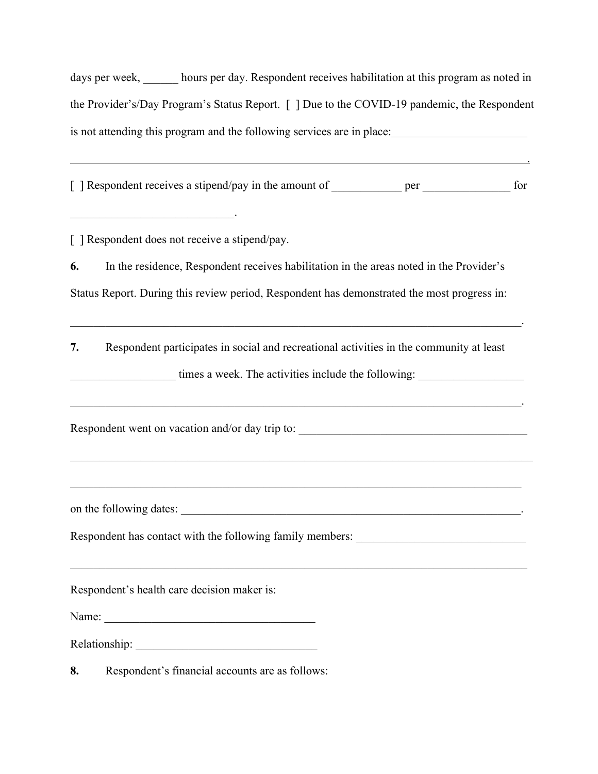days per week, hours per day. Respondent receives habilitation at this program as noted in the Provider's/Day Program's Status Report. [ ] Due to the COVID-19 pandemic, the Respondent is not attending this program and the following services are in place:

[] Respondent receives a stipend/pay in the amount of \_\_\_\_\_\_\_\_\_\_\_\_ per \_\_\_\_\_\_\_\_\_\_\_\_\_\_\_ for

<u>. Andre Stadt Stadt Stadt Stadt Stadt Stadt Stadt Stadt Stadt Stadt Stadt Stadt Stadt Stadt Stadt Stadt Stadt</u>

[ ] Respondent does not receive a stipend/pay.

 $\mathcal{L}_\text{max}$  and  $\mathcal{L}_\text{max}$  and  $\mathcal{L}_\text{max}$  and  $\mathcal{L}_\text{max}$ 

**6.** In the residence, Respondent receives habilitation in the areas noted in the Provider's Status Report. During this review period, Respondent has demonstrated the most progress in:

**7.** Respondent participates in social and recreational activities in the community at least

 $\mathcal{L}_\mathcal{L} = \mathcal{L}_\mathcal{L} = \mathcal{L}_\mathcal{L} = \mathcal{L}_\mathcal{L} = \mathcal{L}_\mathcal{L} = \mathcal{L}_\mathcal{L} = \mathcal{L}_\mathcal{L} = \mathcal{L}_\mathcal{L} = \mathcal{L}_\mathcal{L} = \mathcal{L}_\mathcal{L} = \mathcal{L}_\mathcal{L} = \mathcal{L}_\mathcal{L} = \mathcal{L}_\mathcal{L} = \mathcal{L}_\mathcal{L} = \mathcal{L}_\mathcal{L} = \mathcal{L}_\mathcal{L} = \mathcal{L}_\mathcal{L}$ 

 $\mathcal{L}_\mathcal{L} = \mathcal{L}_\mathcal{L} = \mathcal{L}_\mathcal{L} = \mathcal{L}_\mathcal{L} = \mathcal{L}_\mathcal{L} = \mathcal{L}_\mathcal{L} = \mathcal{L}_\mathcal{L} = \mathcal{L}_\mathcal{L} = \mathcal{L}_\mathcal{L} = \mathcal{L}_\mathcal{L} = \mathcal{L}_\mathcal{L} = \mathcal{L}_\mathcal{L} = \mathcal{L}_\mathcal{L} = \mathcal{L}_\mathcal{L} = \mathcal{L}_\mathcal{L} = \mathcal{L}_\mathcal{L} = \mathcal{L}_\mathcal{L}$ 

times a week. The activities include the following:

Respondent went on vacation and/or day trip to:

on the following dates: \_\_\_\_\_\_\_\_\_\_\_\_\_\_\_\_\_\_\_\_\_\_\_\_\_\_\_\_\_\_\_\_\_\_\_\_\_\_\_\_\_\_\_\_\_\_\_\_\_\_\_\_\_\_\_\_\_\_.

Respondent has contact with the following family members:

Respondent's health care decision maker is:

Name:

Relationship: \_\_\_\_\_\_\_\_\_\_\_\_\_\_\_\_\_\_\_\_\_\_\_\_\_\_\_\_\_\_\_

**8.** Respondent's financial accounts are as follows: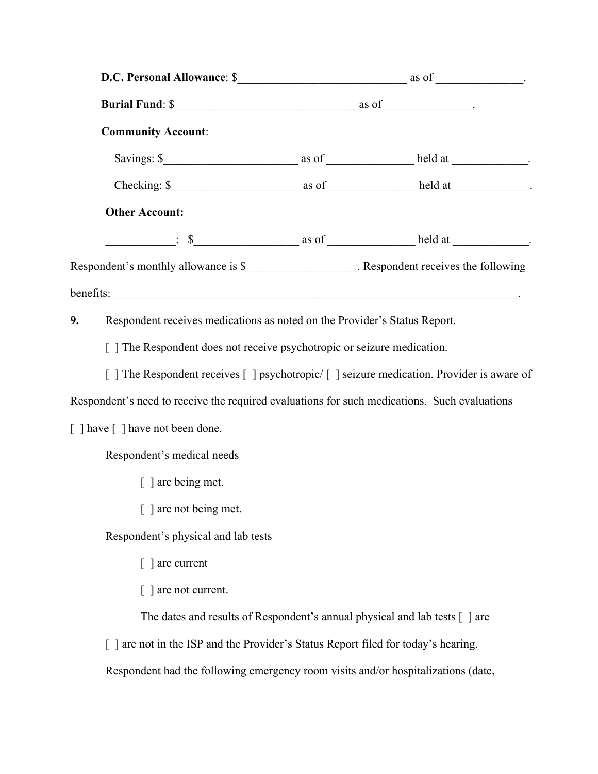|    | <b>Community Account:</b>                                                                    |  |                                                                                               |  |  |  |
|----|----------------------------------------------------------------------------------------------|--|-----------------------------------------------------------------------------------------------|--|--|--|
|    |                                                                                              |  |                                                                                               |  |  |  |
|    |                                                                                              |  |                                                                                               |  |  |  |
|    | <b>Other Account:</b>                                                                        |  |                                                                                               |  |  |  |
|    |                                                                                              |  | $\frac{\cdot}{\cdot}$ \$ $\frac{\cdot}{\cdot}$ as of <u>________</u> held at _________.       |  |  |  |
|    |                                                                                              |  | Respondent's monthly allowance is \$______________________. Respondent receives the following |  |  |  |
|    |                                                                                              |  |                                                                                               |  |  |  |
| 9. | Respondent receives medications as noted on the Provider's Status Report.                    |  |                                                                                               |  |  |  |
|    | [ ] The Respondent does not receive psychotropic or seizure medication.                      |  |                                                                                               |  |  |  |
|    | [ ] The Respondent receives [ ] psychotropic/ [ ] seizure medication. Provider is aware of   |  |                                                                                               |  |  |  |
|    | Respondent's need to receive the required evaluations for such medications. Such evaluations |  |                                                                                               |  |  |  |
|    | [ ] have [ ] have not been done.                                                             |  |                                                                                               |  |  |  |
|    | Respondent's medical needs                                                                   |  |                                                                                               |  |  |  |
|    | [ ] are being met.                                                                           |  |                                                                                               |  |  |  |
|    | [ ] are not being met.                                                                       |  |                                                                                               |  |  |  |
|    | Respondent's physical and lab tests                                                          |  |                                                                                               |  |  |  |
|    | [ ] are current                                                                              |  |                                                                                               |  |  |  |
|    | are not current.                                                                             |  |                                                                                               |  |  |  |
|    |                                                                                              |  | The dates and results of Respondent's annual physical and lab tests [] are                    |  |  |  |
|    | [] are not in the ISP and the Provider's Status Report filed for today's hearing.            |  |                                                                                               |  |  |  |
|    | Respondent had the following emergency room visits and/or hospitalizations (date,            |  |                                                                                               |  |  |  |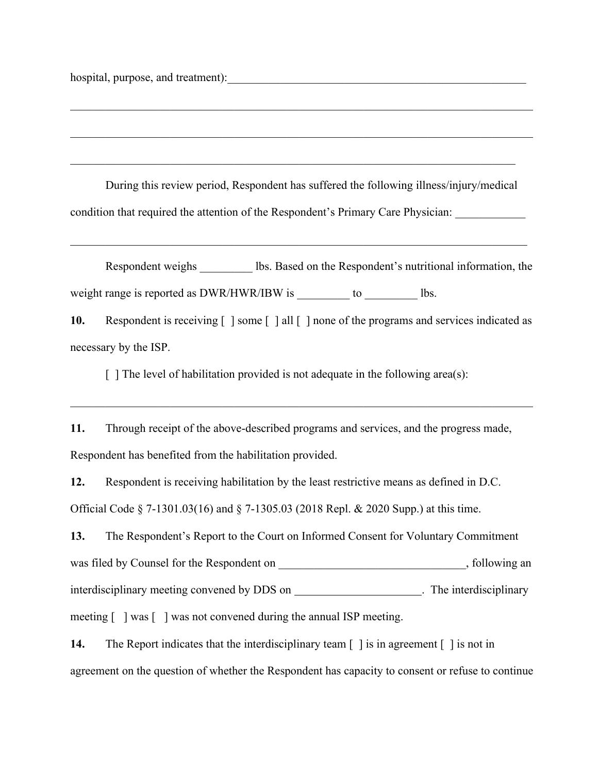hospital, purpose, and treatment):

During this review period, Respondent has suffered the following illness/injury/medical condition that required the attention of the Respondent's Primary Care Physician:

Respondent weighs lbs. Based on the Respondent's nutritional information, the weight range is reported as DWR/HWR/IBW is  $\qquad \qquad$  to  $\qquad \qquad$  lbs.

**10.** Respondent is receiving  $\lceil \cdot \rceil$  some  $\lceil \cdot \rceil$  all  $\lceil \cdot \rceil$  none of the programs and services indicated as necessary by the ISP.

 $\lceil \cdot \rceil$  The level of habilitation provided is not adequate in the following area(s):

**11.** Through receipt of the above-described programs and services, and the progress made, Respondent has benefited from the habilitation provided.

**12.** Respondent is receiving habilitation by the least restrictive means as defined in D.C. Official Code § 7-1301.03(16) and § 7-1305.03 (2018 Repl. & 2020 Supp.) at this time.

**13.** The Respondent's Report to the Court on Informed Consent for Voluntary Commitment was filed by Counsel for the Respondent on  $\hspace{2cm}$ , following an interdisciplinary meeting convened by DDS on \_\_\_\_\_\_\_\_\_\_\_\_\_\_\_\_\_\_\_\_\_\_\_. The interdisciplinary meeting [ ] was [ ] was not convened during the annual ISP meeting.

**14.** The Report indicates that the interdisciplinary team  $\lceil \cdot \rceil$  is in agreement  $\lceil \cdot \rceil$  is not in agreement on the question of whether the Respondent has capacity to consent or refuse to continue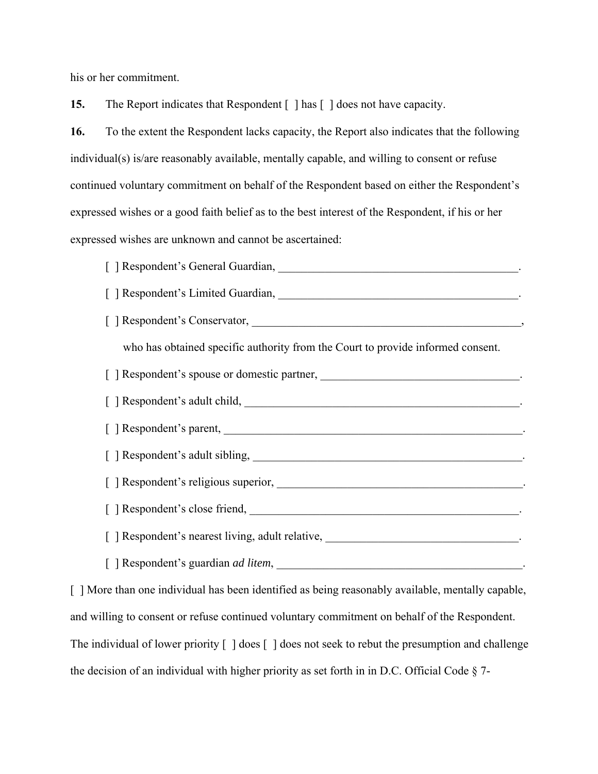his or her commitment.

**15.** The Report indicates that Respondent  $\lceil \cdot \rceil$  has  $\lceil \cdot \rceil$  does not have capacity.

**16.** To the extent the Respondent lacks capacity, the Report also indicates that the following individual(s) is/are reasonably available, mentally capable, and willing to consent or refuse continued voluntary commitment on behalf of the Respondent based on either the Respondent's expressed wishes or a good faith belief as to the best interest of the Respondent, if his or her expressed wishes are unknown and cannot be ascertained:

[ ] Respondent's General Guardian, \_\_\_\_\_\_\_\_\_\_\_\_\_\_\_\_\_\_\_\_\_\_\_\_\_\_\_\_\_\_\_\_\_\_\_\_\_\_\_\_\_. [ ] Respondent's Limited Guardian, [ ] Respondent's Conservator, \_\_\_\_\_\_\_\_\_\_\_\_\_\_\_\_\_\_\_\_\_\_\_\_\_\_\_\_\_\_\_\_\_\_\_\_\_\_\_\_\_\_\_\_\_\_, who has obtained specific authority from the Court to provide informed consent. [ ] Respondent's spouse or domestic partner, \_\_\_\_\_\_\_\_\_\_\_\_\_\_\_\_\_\_\_\_\_\_\_\_\_\_\_\_\_\_\_\_\_\_. [ ] Respondent's adult child, \_\_\_\_\_\_\_\_\_\_\_\_\_\_\_\_\_\_\_\_\_\_\_\_\_\_\_\_\_\_\_\_\_\_\_\_\_\_\_\_\_\_\_\_\_\_\_. [ ] Respondent's parent, [ ] Respondent's adult sibling, \_\_\_\_\_\_\_\_\_\_\_\_\_\_\_\_\_\_\_\_\_\_\_\_\_\_\_\_\_\_\_\_\_\_\_\_\_\_\_\_\_\_\_\_\_\_. [ ] Respondent's religious superior, \_\_\_\_\_\_\_\_\_\_\_\_\_\_\_\_\_\_\_\_\_\_\_\_\_\_\_\_\_\_\_\_\_\_\_\_\_\_\_\_\_\_. [ ] Respondent's close friend, \_\_\_\_\_\_\_\_\_\_\_\_\_\_\_\_\_\_\_\_\_\_\_\_\_\_\_\_\_\_\_\_\_\_\_\_\_\_\_\_\_\_\_\_\_\_. [ ] Respondent's nearest living, adult relative, [ ] Respondent's guardian *ad litem*,

[ ] More than one individual has been identified as being reasonably available, mentally capable, and willing to consent or refuse continued voluntary commitment on behalf of the Respondent. The individual of lower priority  $\lceil \cdot \rceil$  does  $\lceil \cdot \rceil$  does not seek to rebut the presumption and challenge the decision of an individual with higher priority as set forth in in D.C. Official Code § 7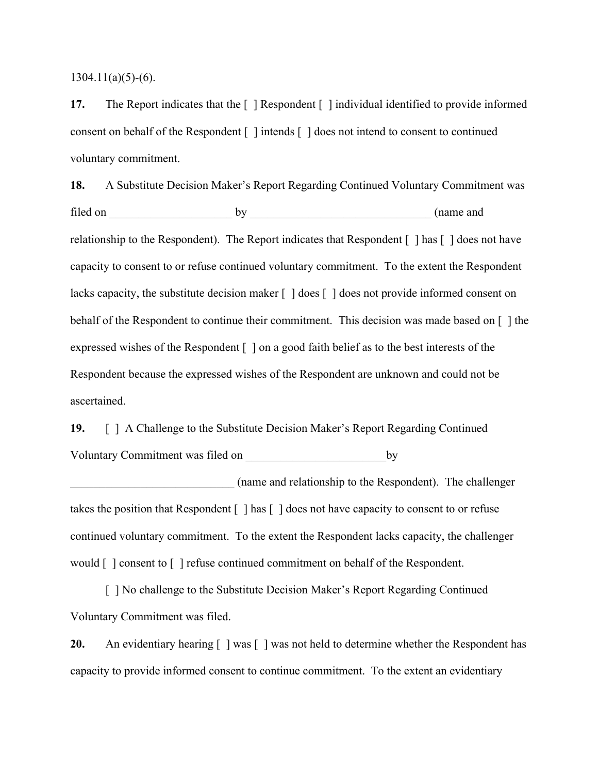$1304.11(a)(5)-(6)$ .

**17.** The Report indicates that the  $\lceil \cdot \rceil$  Respondent  $\lceil \cdot \rceil$  individual identified to provide informed consent on behalf of the Respondent  $\lceil \cdot \rceil$  intends  $\lceil \cdot \rceil$  does not intend to consent to continued voluntary commitment.

**18.** A Substitute Decision Maker's Report Regarding Continued Voluntary Commitment was filed on \_\_\_\_\_\_\_\_\_\_\_\_\_\_\_\_\_\_\_\_\_ by \_\_\_\_\_\_\_\_\_\_\_\_\_\_\_\_\_\_\_\_\_\_\_\_\_\_\_\_\_\_\_ (name and relationship to the Respondent). The Report indicates that Respondent [ ] has [ ] does not have capacity to consent to or refuse continued voluntary commitment. To the extent the Respondent lacks capacity, the substitute decision maker  $\lceil \cdot \rceil$  does  $\lceil \cdot \rceil$  does not provide informed consent on behalf of the Respondent to continue their commitment. This decision was made based on [ ] the expressed wishes of the Respondent [ ] on a good faith belief as to the best interests of the Respondent because the expressed wishes of the Respondent are unknown and could not be ascertained.

**19.** [ ] A Challenge to the Substitute Decision Maker's Report Regarding Continued Voluntary Commitment was filed on \_\_\_\_\_\_\_\_\_\_\_\_\_\_\_\_\_\_\_\_\_\_\_\_by

\_\_\_\_\_\_\_\_\_\_\_\_\_\_\_\_\_\_\_\_\_\_\_\_\_\_\_\_ (name and relationship to the Respondent). The challenger takes the position that Respondent [ ] has [ ] does not have capacity to consent to or refuse continued voluntary commitment. To the extent the Respondent lacks capacity, the challenger would [ ] consent to [ ] refuse continued commitment on behalf of the Respondent.

 [ ] No challenge to the Substitute Decision Maker's Report Regarding Continued Voluntary Commitment was filed.

**20.** An evidentiary hearing  $\lceil \cdot \rceil$  was not held to determine whether the Respondent has capacity to provide informed consent to continue commitment. To the extent an evidentiary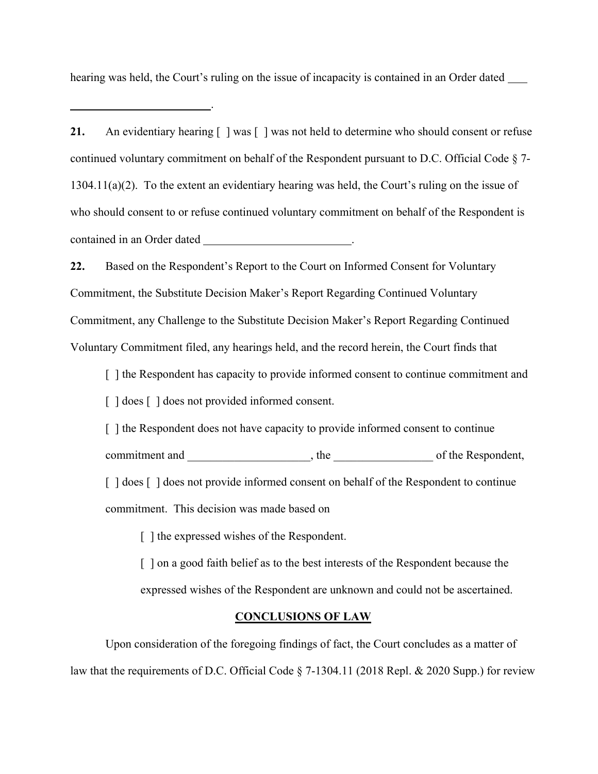hearing was held, the Court's ruling on the issue of incapacity is contained in an Order dated

.

**21.** An evidentiary hearing  $\begin{bmatrix} \end{bmatrix}$  was not held to determine who should consent or refuse continued voluntary commitment on behalf of the Respondent pursuant to D.C. Official Code § 7- 1304.11(a)(2). To the extent an evidentiary hearing was held, the Court's ruling on the issue of who should consent to or refuse continued voluntary commitment on behalf of the Respondent is contained in an Order dated **.** The contained in an Order dated **.** The contained in an Order dated **.** .

**22.** Based on the Respondent's Report to the Court on Informed Consent for Voluntary Commitment, the Substitute Decision Maker's Report Regarding Continued Voluntary Commitment, any Challenge to the Substitute Decision Maker's Report Regarding Continued Voluntary Commitment filed, any hearings held, and the record herein, the Court finds that

[] the Respondent has capacity to provide informed consent to continue commitment and [ ] does [ ] does not provided informed consent.

[ ] the Respondent does not have capacity to provide informed consent to continue

commitment and \_\_\_\_\_\_\_\_\_\_\_\_\_\_\_\_\_\_\_\_\_, the \_\_\_\_\_\_\_\_\_\_\_\_\_\_\_\_\_ of the Respondent,

[ ] does [ ] does not provide informed consent on behalf of the Respondent to continue commitment. This decision was made based on

[] the expressed wishes of the Respondent.

[ ] on a good faith belief as to the best interests of the Respondent because the expressed wishes of the Respondent are unknown and could not be ascertained.

#### **CONCLUSIONS OF LAW**

 Upon consideration of the foregoing findings of fact, the Court concludes as a matter of law that the requirements of D.C. Official Code § 7-1304.11 (2018 Repl. & 2020 Supp.) for review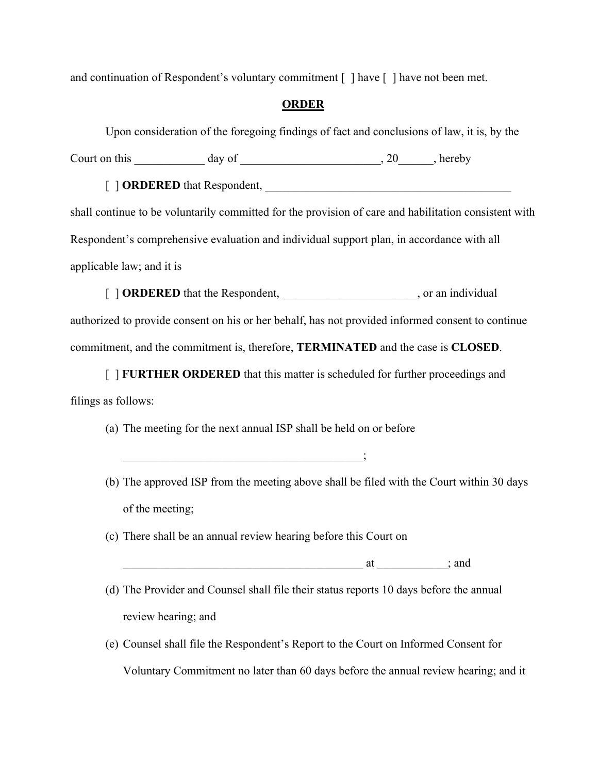and continuation of Respondent's voluntary commitment  $\lceil \cdot \rceil$  have  $\lceil \cdot \rceil$  have not been met.

#### **ORDER**

Upon consideration of the foregoing findings of fact and conclusions of law, it is, by the

Court on this \_\_\_\_\_\_\_\_\_\_\_\_ day of \_\_\_\_\_\_\_\_\_\_\_\_\_\_\_\_\_\_\_\_\_\_\_\_, 20\_\_\_\_\_\_, hereby

[ ] **ORDERED** that Respondent,

shall continue to be voluntarily committed for the provision of care and habilitation consistent with Respondent's comprehensive evaluation and individual support plan, in accordance with all applicable law; and it is

[ ] **ORDERED** that the Respondent, the contract of the set of the set of the set of the set of the set of the set of the set of the set of the set of the set of the set of the set of the set of the set of the set of the se

authorized to provide consent on his or her behalf, has not provided informed consent to continue commitment, and the commitment is, therefore, **TERMINATED** and the case is **CLOSED**.

[ ] **FURTHER ORDERED** that this matter is scheduled for further proceedings and filings as follows:

(a) The meeting for the next annual ISP shall be held on or before

 $\qquad \qquad ; \qquad \qquad$ 

- (b) The approved ISP from the meeting above shall be filed with the Court within 30 days of the meeting;
- (c) There shall be an annual review hearing before this Court on

 $\alpha t$  ; and

- (d) The Provider and Counsel shall file their status reports 10 days before the annual review hearing; and
- (e) Counsel shall file the Respondent's Report to the Court on Informed Consent for Voluntary Commitment no later than 60 days before the annual review hearing; and it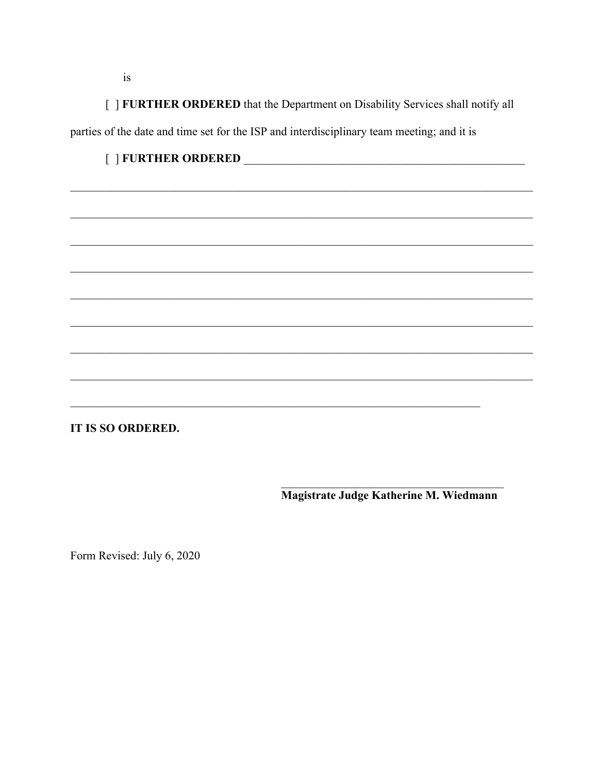[ ] FURTHER ORDERED that the Department on Disability Services shall notify all parties of the date and time set for the ISP and interdisciplinary team meeting; and it is

## 

IT IS SO ORDERED.

Magistrate Judge Katherine M. Wiedmann

Form Revised: July 6, 2020

 $is$